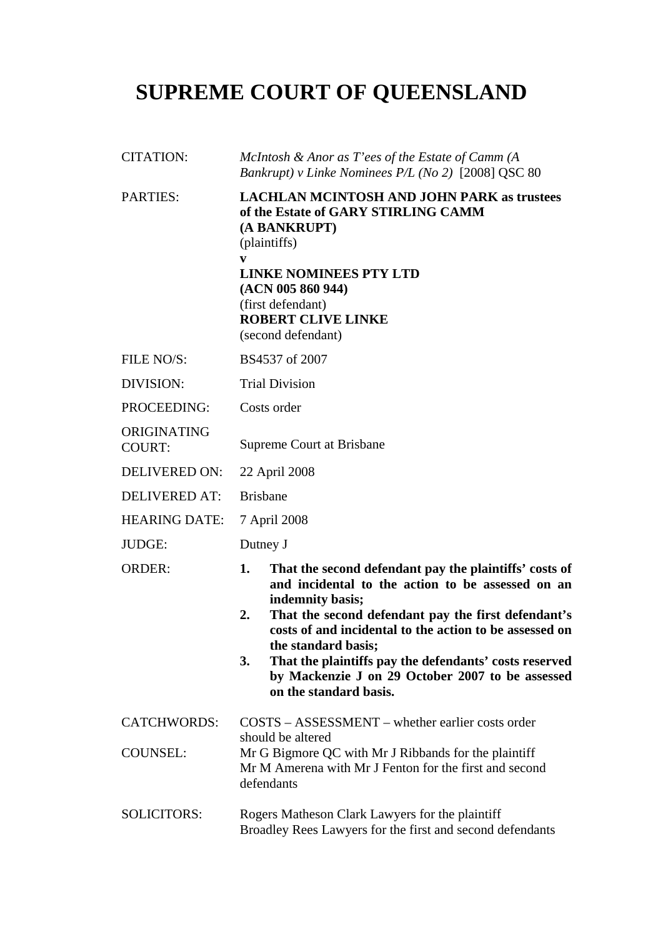## **SUPREME COURT OF QUEENSLAND**

| <b>CITATION:</b>             | McIntosh & Anor as T'ees of the Estate of Camm (A<br>Bankrupt) v Linke Nominees P/L (No 2) [2008] QSC 80                                                                                                                                                                                                                                                                                                                           |
|------------------------------|------------------------------------------------------------------------------------------------------------------------------------------------------------------------------------------------------------------------------------------------------------------------------------------------------------------------------------------------------------------------------------------------------------------------------------|
| <b>PARTIES:</b>              | <b>LACHLAN MCINTOSH AND JOHN PARK as trustees</b><br>of the Estate of GARY STIRLING CAMM<br>(A BANKRUPT)<br>(plaintiffs)<br>V<br><b>LINKE NOMINEES PTY LTD</b><br>(ACN 005 860 944)<br>(first defendant)<br><b>ROBERT CLIVE LINKE</b><br>(second defendant)                                                                                                                                                                        |
| FILE NO/S:                   | BS4537 of 2007                                                                                                                                                                                                                                                                                                                                                                                                                     |
| DIVISION:                    | <b>Trial Division</b>                                                                                                                                                                                                                                                                                                                                                                                                              |
| PROCEEDING:                  | Costs order                                                                                                                                                                                                                                                                                                                                                                                                                        |
| ORIGINATING<br><b>COURT:</b> | Supreme Court at Brisbane                                                                                                                                                                                                                                                                                                                                                                                                          |
| <b>DELIVERED ON:</b>         | 22 April 2008                                                                                                                                                                                                                                                                                                                                                                                                                      |
| <b>DELIVERED AT:</b>         | <b>Brisbane</b>                                                                                                                                                                                                                                                                                                                                                                                                                    |
| <b>HEARING DATE:</b>         | 7 April 2008                                                                                                                                                                                                                                                                                                                                                                                                                       |
| JUDGE:                       | Dutney J                                                                                                                                                                                                                                                                                                                                                                                                                           |
| <b>ORDER:</b>                | That the second defendant pay the plaintiffs' costs of<br>1.<br>and incidental to the action to be assessed on an<br>indemnity basis;<br>That the second defendant pay the first defendant's<br>2.<br>costs of and incidental to the action to be assessed on<br>the standard basis;<br>That the plaintiffs pay the defendants' costs reserved<br>3.<br>by Mackenzie J on 29 October 2007 to be assessed<br>on the standard basis. |
| <b>CATCHWORDS:</b>           | $COSTS - ASSESSMENT - whether earlier costs order$<br>should be altered                                                                                                                                                                                                                                                                                                                                                            |
| <b>COUNSEL:</b>              | Mr G Bigmore QC with Mr J Ribbands for the plaintiff<br>Mr M Amerena with Mr J Fenton for the first and second<br>defendants                                                                                                                                                                                                                                                                                                       |
| <b>SOLICITORS:</b>           | Rogers Matheson Clark Lawyers for the plaintiff<br>Broadley Rees Lawyers for the first and second defendants                                                                                                                                                                                                                                                                                                                       |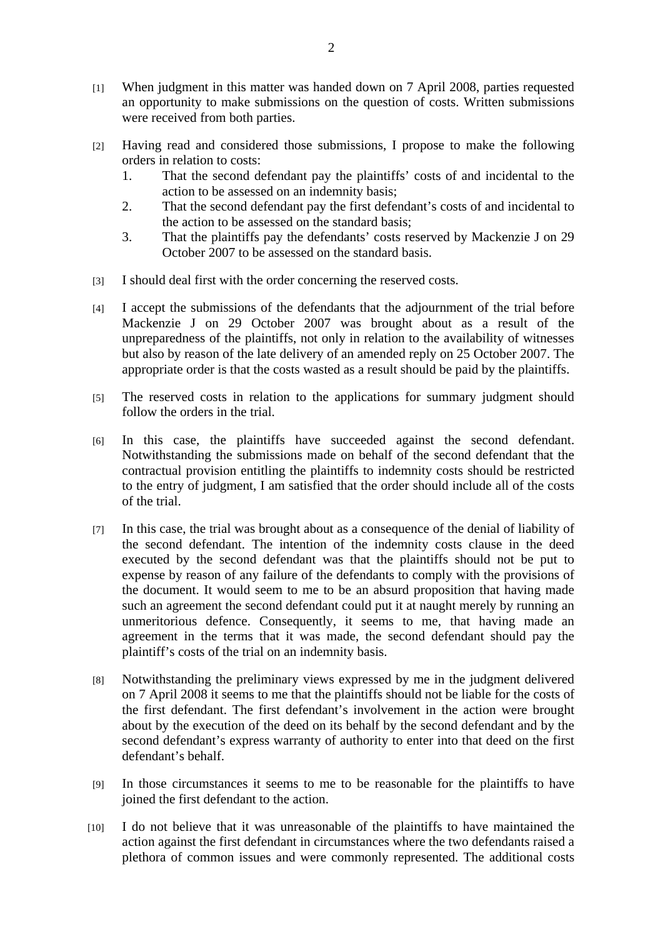- [1] When judgment in this matter was handed down on 7 April 2008, parties requested an opportunity to make submissions on the question of costs. Written submissions were received from both parties.
- [2] Having read and considered those submissions, I propose to make the following orders in relation to costs:
	- 1. That the second defendant pay the plaintiffs' costs of and incidental to the action to be assessed on an indemnity basis;
	- 2. That the second defendant pay the first defendant's costs of and incidental to the action to be assessed on the standard basis;
	- 3. That the plaintiffs pay the defendants' costs reserved by Mackenzie J on 29 October 2007 to be assessed on the standard basis.
- [3] I should deal first with the order concerning the reserved costs.
- [4] I accept the submissions of the defendants that the adjournment of the trial before Mackenzie J on 29 October 2007 was brought about as a result of the unpreparedness of the plaintiffs, not only in relation to the availability of witnesses but also by reason of the late delivery of an amended reply on 25 October 2007. The appropriate order is that the costs wasted as a result should be paid by the plaintiffs.
- [5] The reserved costs in relation to the applications for summary judgment should follow the orders in the trial.
- [6] In this case, the plaintiffs have succeeded against the second defendant. Notwithstanding the submissions made on behalf of the second defendant that the contractual provision entitling the plaintiffs to indemnity costs should be restricted to the entry of judgment, I am satisfied that the order should include all of the costs of the trial.
- [7] In this case, the trial was brought about as a consequence of the denial of liability of the second defendant. The intention of the indemnity costs clause in the deed executed by the second defendant was that the plaintiffs should not be put to expense by reason of any failure of the defendants to comply with the provisions of the document. It would seem to me to be an absurd proposition that having made such an agreement the second defendant could put it at naught merely by running an unmeritorious defence. Consequently, it seems to me, that having made an agreement in the terms that it was made, the second defendant should pay the plaintiff's costs of the trial on an indemnity basis.
- [8] Notwithstanding the preliminary views expressed by me in the judgment delivered on 7 April 2008 it seems to me that the plaintiffs should not be liable for the costs of the first defendant. The first defendant's involvement in the action were brought about by the execution of the deed on its behalf by the second defendant and by the second defendant's express warranty of authority to enter into that deed on the first defendant's behalf.
- [9] In those circumstances it seems to me to be reasonable for the plaintiffs to have joined the first defendant to the action.
- [10] I do not believe that it was unreasonable of the plaintiffs to have maintained the action against the first defendant in circumstances where the two defendants raised a plethora of common issues and were commonly represented. The additional costs